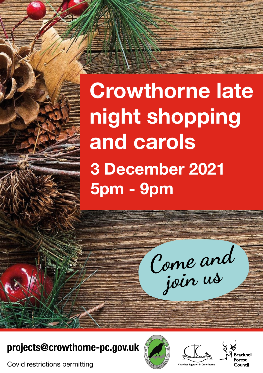**Crowthorne late night shopping and carols 3 December 2021 5pm - 9pm**

**Come and join us**

**projects@crowthorne-pc.gov.uk**

Covid restrictions permitting





`ouncil